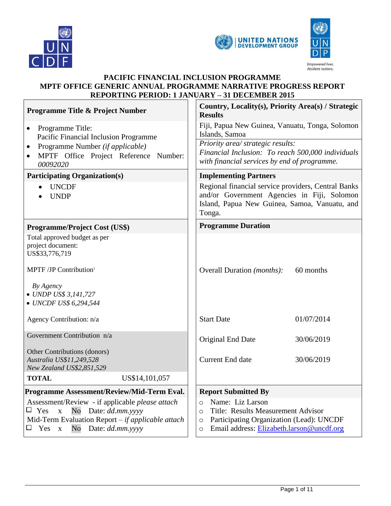

 $\Gamma$ 





Empowered lives. Resilient nations.

# **PACIFIC FINANCIAL INCLUSION PROGRAMME MPTF OFFICE GENERIC ANNUAL PROGRAMME NARRATIVE PROGRESS REPORT REPORTING PERIOD: 1 JANUARY – 31 DECEMBER 2015**

| <b>Programme Title &amp; Project Number</b>                                                                                                                                                                         | Country, Locality(s), Priority Area(s) / Strategic<br><b>Results</b>                                                                                                                                    |  |
|---------------------------------------------------------------------------------------------------------------------------------------------------------------------------------------------------------------------|---------------------------------------------------------------------------------------------------------------------------------------------------------------------------------------------------------|--|
| Programme Title:<br>$\bullet$<br>Pacific Financial Inclusion Programme                                                                                                                                              | Fiji, Papua New Guinea, Vanuatu, Tonga, Solomon<br>Islands, Samoa                                                                                                                                       |  |
| Programme Number (if applicable)<br>$\bullet$<br>MPTF Office Project Reference Number:<br>$\bullet$<br>00092020                                                                                                     | Priority area/ strategic results:<br>Financial Inclusion: To reach 500,000 individuals<br>with financial services by end of programme.                                                                  |  |
| <b>Participating Organization(s)</b>                                                                                                                                                                                | <b>Implementing Partners</b>                                                                                                                                                                            |  |
| <b>UNCDF</b><br><b>UNDP</b>                                                                                                                                                                                         | Regional financial service providers, Central Banks<br>and/or Government Agencies in Fiji, Solomon<br>Island, Papua New Guinea, Samoa, Vanuatu, and<br>Tonga.                                           |  |
| <b>Programme/Project Cost (US\$)</b>                                                                                                                                                                                | <b>Programme Duration</b>                                                                                                                                                                               |  |
| Total approved budget as per<br>project document:<br>US\$33,776,719                                                                                                                                                 |                                                                                                                                                                                                         |  |
| MPTF /JP Contribution <sup>:</sup>                                                                                                                                                                                  | 60 months<br>Overall Duration ( <i>months</i> ):                                                                                                                                                        |  |
| By Agency<br>• UNDP US\$ 3,141,727<br>• UNCDF US\$ 6,294,544                                                                                                                                                        |                                                                                                                                                                                                         |  |
| Agency Contribution: n/a                                                                                                                                                                                            | <b>Start Date</b><br>01/07/2014                                                                                                                                                                         |  |
| Government Contribution n/a                                                                                                                                                                                         | Original End Date<br>30/06/2019                                                                                                                                                                         |  |
| Other Contributions (donors)<br>Australia US\$11,249,528<br>New Zealand US\$2,851,529                                                                                                                               | Current End date<br>30/06/2019                                                                                                                                                                          |  |
| <b>TOTAL</b><br>US\$14,101,057                                                                                                                                                                                      |                                                                                                                                                                                                         |  |
| Programme Assessment/Review/Mid-Term Eval.                                                                                                                                                                          | <b>Report Submitted By</b>                                                                                                                                                                              |  |
| Assessment/Review - if applicable please attach<br>$\Box$ Yes<br>$\mathbf X$<br>$\rm No$<br>Date: dd.mm.yyyy<br>Mid-Term Evaluation Report $-$ if applicable attach<br>$\rm No$<br>Date: dd.mm.yyyy<br>$\Box$ Yes x | Name: Liz Larson<br>$\circ$<br>Title: Results Measurement Advisor<br>$\circ$<br>Participating Organization (Lead): UNCDF<br>$\circlearrowright$<br>Email address: Elizabeth.larson@uncdf.org<br>$\circ$ |  |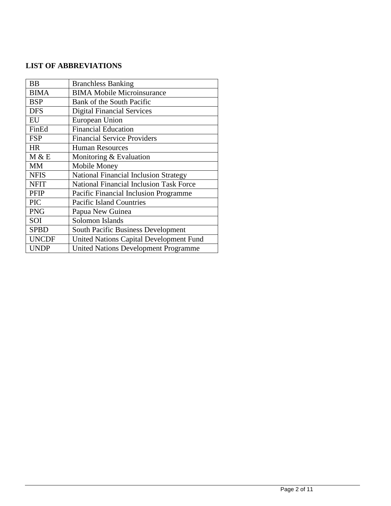## **LIST OF ABBREVIATIONS**

| <b>BB</b>    | <b>Branchless Banking</b>                      |
|--------------|------------------------------------------------|
| <b>BIMA</b>  | <b>BIMA Mobile Microinsurance</b>              |
| <b>BSP</b>   | Bank of the South Pacific                      |
| <b>DFS</b>   | <b>Digital Financial Services</b>              |
| EU           | European Union                                 |
| FinEd        | <b>Financial Education</b>                     |
| <b>FSP</b>   | <b>Financial Service Providers</b>             |
| <b>HR</b>    | <b>Human Resources</b>                         |
| M & E        | Monitoring & Evaluation                        |
| MM           | Mobile Money                                   |
| <b>NFIS</b>  | <b>National Financial Inclusion Strategy</b>   |
| <b>NFIT</b>  | <b>National Financial Inclusion Task Force</b> |
| <b>PFIP</b>  | Pacific Financial Inclusion Programme          |
| <b>PIC</b>   | <b>Pacific Island Countries</b>                |
| <b>PNG</b>   | Papua New Guinea                               |
| SOI          | Solomon Islands                                |
| <b>SPBD</b>  | South Pacific Business Development             |
| <b>UNCDF</b> | United Nations Capital Development Fund        |
| <b>UNDP</b>  | <b>United Nations Development Programme</b>    |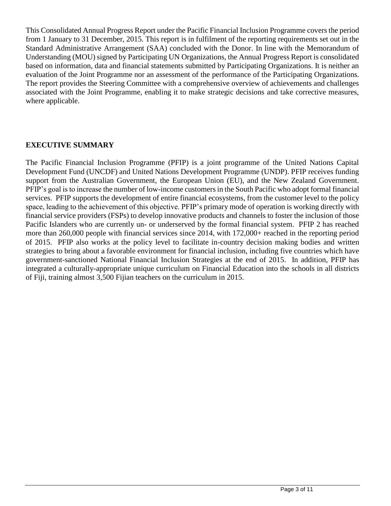This Consolidated Annual Progress Report under the Pacific Financial Inclusion Programme covers the period from 1 January to 31 December, 2015. This report is in fulfilment of the reporting requirements set out in the Standard Administrative Arrangement (SAA) concluded with the Donor. In line with the Memorandum of Understanding (MOU) signed by Participating UN Organizations, the Annual Progress Report is consolidated based on information, data and financial statements submitted by Participating Organizations. It is neither an evaluation of the Joint Programme nor an assessment of the performance of the Participating Organizations. The report provides the Steering Committee with a comprehensive overview of achievements and challenges associated with the Joint Programme, enabling it to make strategic decisions and take corrective measures, where applicable.

### **EXECUTIVE SUMMARY**

The Pacific Financial Inclusion Programme (PFIP) is a joint programme of the United Nations Capital Development Fund (UNCDF) and United Nations Development Programme (UNDP). PFIP receives funding support from the Australian Government, the European Union (EU), and the New Zealand Government. PFIP's goal is to increase the number of low-income customers in the South Pacific who adopt formal financial services. PFIP supports the development of entire financial ecosystems, from the customer level to the policy space, leading to the achievement of this objective. PFIP's primary mode of operation is working directly with financial service providers (FSPs) to develop innovative products and channels to foster the inclusion of those Pacific Islanders who are currently un- or underserved by the formal financial system. PFIP 2 has reached more than 260,000 people with financial services since 2014, with 172,000+ reached in the reporting period of 2015. PFIP also works at the policy level to facilitate in-country decision making bodies and written strategies to bring about a favorable environment for financial inclusion, including five countries which have government-sanctioned National Financial Inclusion Strategies at the end of 2015. In addition, PFIP has integrated a culturally-appropriate unique curriculum on Financial Education into the schools in all districts of Fiji, training almost 3,500 Fijian teachers on the curriculum in 2015.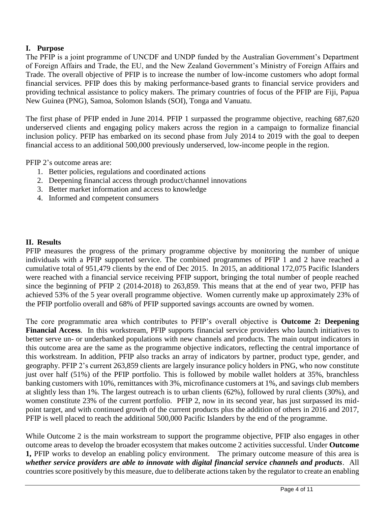## **I. Purpose**

The PFIP is a joint programme of UNCDF and UNDP funded by the Australian Government's Department of Foreign Affairs and Trade, the EU, and the New Zealand Government's Ministry of Foreign Affairs and Trade. The overall objective of PFIP is to increase the number of low-income customers who adopt formal financial services. PFIP does this by making performance-based grants to financial service providers and providing technical assistance to policy makers. The primary countries of focus of the PFIP are Fiji, Papua New Guinea (PNG), Samoa, Solomon Islands (SOI), Tonga and Vanuatu.

The first phase of PFIP ended in June 2014. PFIP 1 surpassed the programme objective, reaching 687,620 underserved clients and engaging policy makers across the region in a campaign to formalize financial inclusion policy. PFIP has embarked on its second phase from July 2014 to 2019 with the goal to deepen financial access to an additional 500,000 previously underserved, low-income people in the region.

PFIP 2's outcome areas are:

- 1. Better policies, regulations and coordinated actions
- 2. Deepening financial access through product/channel innovations
- 3. Better market information and access to knowledge
- 4. Informed and competent consumers

### **II. Results**

PFIP measures the progress of the primary programme objective by monitoring the number of unique individuals with a PFIP supported service. The combined programmes of PFIP 1 and 2 have reached a cumulative total of 951,479 clients by the end of Dec 2015. In 2015, an additional 172,075 Pacific Islanders were reached with a financial service receiving PFIP support, bringing the total number of people reached since the beginning of PFIP 2 (2014-2018) to 263,859. This means that at the end of year two, PFIP has achieved 53% of the 5 year overall programme objective. Women currently make up approximately 23% of the PFIP portfolio overall and 68% of PFIP supported savings accounts are owned by women.

The core programmatic area which contributes to PFIP's overall objective is **Outcome 2: Deepening Financial Access**. In this workstream, PFIP supports financial service providers who launch initiatives to better serve un- or underbanked populations with new channels and products. The main output indicators in this outcome area are the same as the programme objective indicators, reflecting the central importance of this workstream. In addition, PFIP also tracks an array of indicators by partner, product type, gender, and geography. PFIP 2's current 263,859 clients are largely insurance policy holders in PNG, who now constitute just over half (51%) of the PFIP portfolio. This is followed by mobile wallet holders at 35%, branchless banking customers with 10%, remittances with 3%, microfinance customers at 1%, and savings club members at slightly less than 1%. The largest outreach is to urban clients (62%), followed by rural clients (30%), and women constitute 23% of the current portfolio. PFIP 2, now in its second year, has just surpassed its midpoint target, and with continued growth of the current products plus the addition of others in 2016 and 2017, PFIP is well placed to reach the additional 500,000 Pacific Islanders by the end of the programme.

While Outcome 2 is the main workstream to support the programme objective, PFIP also engages in other outcome areas to develop the broader ecosystem that makes outcome 2 activities successful. Under **Outcome 1,** PFIP works to develop an enabling policy environment. The primary outcome measure of this area is *whether service providers are able to innovate with digital financial service channels and products*. All countries score positively by this measure, due to deliberate actions taken by the regulator to create an enabling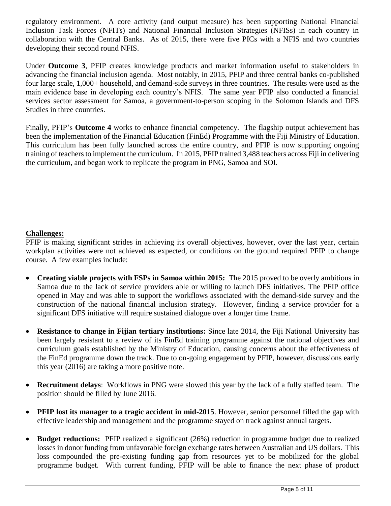regulatory environment. A core activity (and output measure) has been supporting National Financial Inclusion Task Forces (NFITs) and National Financial Inclusion Strategies (NFISs) in each country in collaboration with the Central Banks. As of 2015, there were five PICs with a NFIS and two countries developing their second round NFIS.

Under **Outcome 3**, PFIP creates knowledge products and market information useful to stakeholders in advancing the financial inclusion agenda. Most notably, in 2015, PFIP and three central banks co-published four large scale, 1,000+ household, and demand-side surveys in three countries. The results were used as the main evidence base in developing each country's NFIS. The same year PFIP also conducted a financial services sector assessment for Samoa, a government-to-person scoping in the Solomon Islands and DFS Studies in three countries.

Finally, PFIP's **Outcome 4** works to enhance financial competency. The flagship output achievement has been the implementation of the Financial Education (FinEd) Programme with the Fiji Ministry of Education. This curriculum has been fully launched across the entire country, and PFIP is now supporting ongoing training of teachers to implement the curriculum. In 2015, PFIP trained 3,488 teachers across Fiji in delivering the curriculum, and began work to replicate the program in PNG, Samoa and SOI.

## **Challenges:**

PFIP is making significant strides in achieving its overall objectives, however, over the last year, certain workplan activities were not achieved as expected, or conditions on the ground required PFIP to change course. A few examples include:

- **Creating viable projects with FSPs in Samoa within 2015:** The 2015 proved to be overly ambitious in Samoa due to the lack of service providers able or willing to launch DFS initiatives. The PFIP office opened in May and was able to support the workflows associated with the demand-side survey and the construction of the national financial inclusion strategy. However, finding a service provider for a significant DFS initiative will require sustained dialogue over a longer time frame.
- **Resistance to change in Fijian tertiary institutions:** Since late 2014, the Fiji National University has been largely resistant to a review of its FinEd training programme against the national objectives and curriculum goals established by the Ministry of Education, causing concerns about the effectiveness of the FinEd programme down the track. Due to on-going engagement by PFIP, however, discussions early this year (2016) are taking a more positive note.
- **Recruitment delays**: Workflows in PNG were slowed this year by the lack of a fully staffed team. The position should be filled by June 2016.
- **PFIP** lost its manager to a tragic accident in mid-2015. However, senior personnel filled the gap with effective leadership and management and the programme stayed on track against annual targets.
- **Budget reductions:** PFIP realized a significant (26%) reduction in programme budget due to realized losses in donor funding from unfavorable foreign exchange rates between Australian and US dollars. This loss compounded the pre-existing funding gap from resources yet to be mobilized for the global programme budget. With current funding, PFIP will be able to finance the next phase of product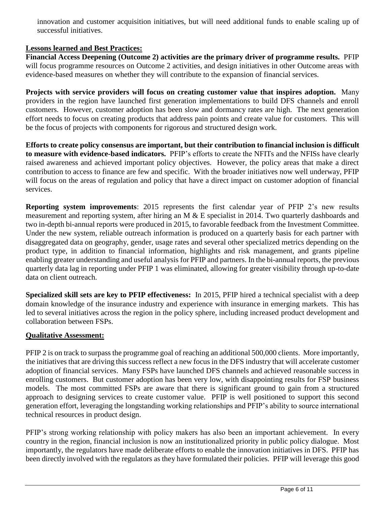innovation and customer acquisition initiatives, but will need additional funds to enable scaling up of successful initiatives.

## **Lessons learned and Best Practices:**

**Financial Access Deepening (Outcome 2) activities are the primary driver of programme results.** PFIP will focus programme resources on Outcome 2 activities, and design initiatives in other Outcome areas with evidence-based measures on whether they will contribute to the expansion of financial services.

**Projects with service providers will focus on creating customer value that inspires adoption.** Many providers in the region have launched first generation implementations to build DFS channels and enroll customers. However, customer adoption has been slow and dormancy rates are high. The next generation effort needs to focus on creating products that address pain points and create value for customers. This will be the focus of projects with components for rigorous and structured design work.

**Efforts to create policy consensus are important, but their contribution to financial inclusion is difficult to measure with evidence-based indicators.** PFIP's efforts to create the NFITs and the NFISs have clearly raised awareness and achieved important policy objectives. However, the policy areas that make a direct contribution to access to finance are few and specific. With the broader initiatives now well underway, PFIP will focus on the areas of regulation and policy that have a direct impact on customer adoption of financial services.

**Reporting system improvements**: 2015 represents the first calendar year of PFIP 2's new results measurement and reporting system, after hiring an M & E specialist in 2014. Two quarterly dashboards and two in-depth bi-annual reports were produced in 2015, to favorable feedback from the Investment Committee. Under the new system, reliable outreach information is produced on a quarterly basis for each partner with disaggregated data on geography, gender, usage rates and several other specialized metrics depending on the product type, in addition to financial information, highlights and risk management, and grants pipeline enabling greater understanding and useful analysis for PFIP and partners. In the bi-annual reports, the previous quarterly data lag in reporting under PFIP 1 was eliminated, allowing for greater visibility through up-to-date data on client outreach.

**Specialized skill sets are key to PFIP effectiveness:** In 2015, PFIP hired a technical specialist with a deep domain knowledge of the insurance industry and experience with insurance in emerging markets. This has led to several initiatives across the region in the policy sphere, including increased product development and collaboration between FSPs.

## **Qualitative Assessment:**

PFIP 2 is on track to surpass the programme goal of reaching an additional 500,000 clients. More importantly, the initiatives that are driving this success reflect a new focus in the DFS industry that will accelerate customer adoption of financial services. Many FSPs have launched DFS channels and achieved reasonable success in enrolling customers. But customer adoption has been very low, with disappointing results for FSP business models. The most committed FSPs are aware that there is significant ground to gain from a structured approach to designing services to create customer value. PFIP is well positioned to support this second generation effort, leveraging the longstanding working relationships and PFIP's ability to source international technical resources in product design.

PFIP's strong working relationship with policy makers has also been an important achievement. In every country in the region, financial inclusion is now an institutionalized priority in public policy dialogue. Most importantly, the regulators have made deliberate efforts to enable the innovation initiatives in DFS. PFIP has been directly involved with the regulators as they have formulated their policies. PFIP will leverage this good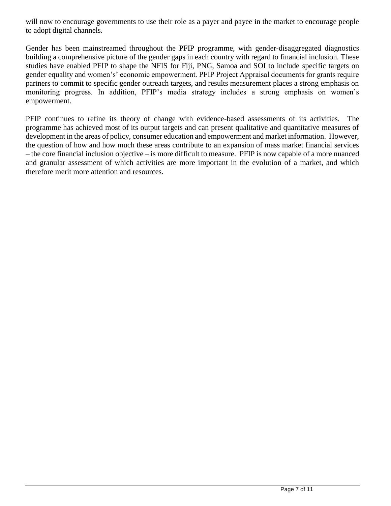will now to encourage governments to use their role as a payer and payee in the market to encourage people to adopt digital channels.

Gender has been mainstreamed throughout the PFIP programme, with gender-disaggregated diagnostics building a comprehensive picture of the gender gaps in each country with regard to financial inclusion. These studies have enabled PFIP to shape the NFIS for Fiji, PNG, Samoa and SOI to include specific targets on gender equality and women's' economic empowerment. PFIP Project Appraisal documents for grants require partners to commit to specific gender outreach targets, and results measurement places a strong emphasis on monitoring progress. In addition, PFIP's media strategy includes a strong emphasis on women's empowerment.

PFIP continues to refine its theory of change with evidence-based assessments of its activities. The programme has achieved most of its output targets and can present qualitative and quantitative measures of development in the areas of policy, consumer education and empowerment and market information. However, the question of how and how much these areas contribute to an expansion of mass market financial services – the core financial inclusion objective – is more difficult to measure. PFIP is now capable of a more nuanced and granular assessment of which activities are more important in the evolution of a market, and which therefore merit more attention and resources.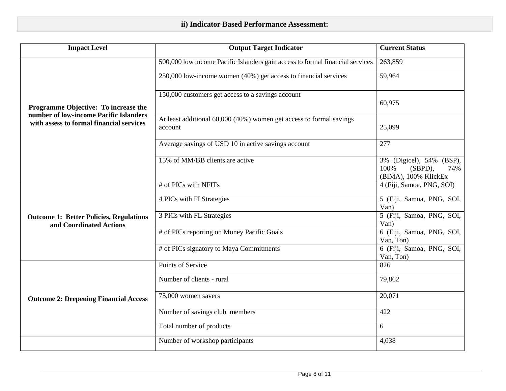| <b>Impact Level</b>                                                                                                        | <b>Output Target Indicator</b>                                                 | <b>Current Status</b>                                                      |
|----------------------------------------------------------------------------------------------------------------------------|--------------------------------------------------------------------------------|----------------------------------------------------------------------------|
| Programme Objective: To increase the<br>number of low-income Pacific Islanders<br>with assess to formal financial services | 500,000 low income Pacific Islanders gain access to formal financial services  | 263,859                                                                    |
|                                                                                                                            | 250,000 low-income women (40%) get access to financial services                | 59,964                                                                     |
|                                                                                                                            | 150,000 customers get access to a savings account                              | 60,975                                                                     |
|                                                                                                                            | At least additional 60,000 (40%) women get access to formal savings<br>account | 25,099                                                                     |
|                                                                                                                            | Average savings of USD 10 in active savings account                            | 277                                                                        |
|                                                                                                                            | 15% of MM/BB clients are active                                                | 3% (Digicel), 54% (BSP),<br>100%<br>(SBPD),<br>74%<br>(BIMA), 100% KlickEx |
| <b>Outcome 1: Better Policies, Regulations</b><br>and Coordinated Actions                                                  | # of PICs with NFITs                                                           | 4 (Fiji, Samoa, PNG, SOI)                                                  |
|                                                                                                                            | 4 PICs with FI Strategies                                                      | 5 (Fiji, Samoa, PNG, SOI,<br>Van)                                          |
|                                                                                                                            | 3 PICs with FL Strategies                                                      | 5 (Fiji, Samoa, PNG, SOI,<br>Van)                                          |
|                                                                                                                            | # of PICs reporting on Money Pacific Goals                                     | 6 (Fiji, Samoa, PNG, SOI,<br>Van, Ton)                                     |
|                                                                                                                            | # of PICs signatory to Maya Commitments                                        | 6 (Fiji, Samoa, PNG, SOI,<br>Van, Ton)                                     |
| <b>Outcome 2: Deepening Financial Access</b>                                                                               | Points of Service                                                              | 826                                                                        |
|                                                                                                                            | Number of clients - rural                                                      | 79,862                                                                     |
|                                                                                                                            | 75,000 women savers                                                            | 20,071                                                                     |
|                                                                                                                            | Number of savings club members                                                 | 422                                                                        |
|                                                                                                                            | Total number of products                                                       | 6                                                                          |
|                                                                                                                            | Number of workshop participants                                                | 4,038                                                                      |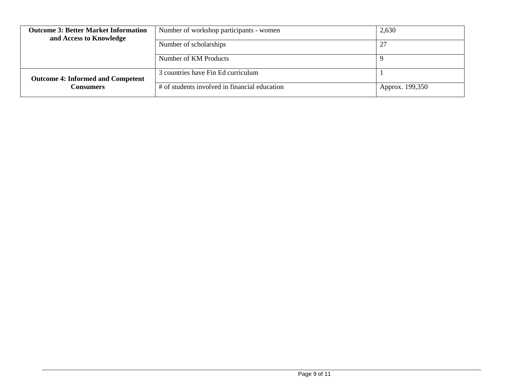| <b>Outcome 3: Better Market Information</b><br>and Access to Knowledge | Number of workshop participants - women       | 2,630           |
|------------------------------------------------------------------------|-----------------------------------------------|-----------------|
|                                                                        | Number of scholarships                        |                 |
|                                                                        | Number of KM Products                         |                 |
| <b>Outcome 4: Informed and Competent</b>                               | 3 countries have Fin Ed curriculum            |                 |
| Consumers                                                              | # of students involved in financial education | Approx. 199,350 |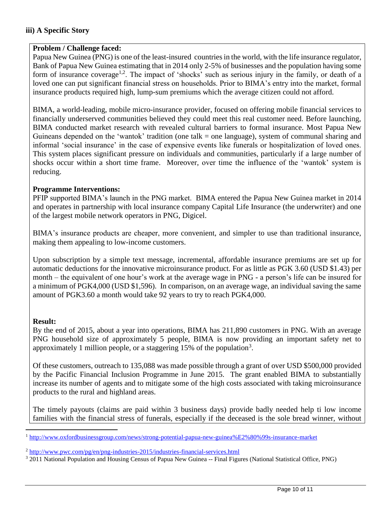### **iii) A Specific Story**

#### **Problem / Challenge faced:**

Papua New Guinea (PNG) is one of the least-insured countries in the world, with the life insurance regulator, Bank of Papua New Guinea estimating that in 2014 only 2-5% of businesses and the population having some form of insurance coverage<sup>1,2</sup>. The impact of 'shocks' such as serious injury in the family, or death of a loved one can put significant financial stress on households. Prior to BIMA's entry into the market, formal insurance products required high, lump-sum premiums which the average citizen could not afford.

BIMA, a world-leading, mobile micro-insurance provider, focused on offering mobile financial services to financially underserved communities believed they could meet this real customer need. Before launching, BIMA conducted market research with revealed cultural barriers to formal insurance. Most Papua New Guineans depended on the 'wantok' tradition (one talk = one language), system of communal sharing and informal 'social insurance' in the case of expensive events like funerals or hospitalization of loved ones. This system places significant pressure on individuals and communities, particularly if a large number of shocks occur within a short time frame. Moreover, over time the influence of the 'wantok' system is reducing.

#### **Programme Interventions:**

PFIP supported BIMA's launch in the PNG market. BIMA entered the Papua New Guinea market in 2014 and operates in partnership with local insurance company Capital Life Insurance (the underwriter) and one of the largest mobile network operators in PNG, Digicel.

BIMA's insurance products are cheaper, more convenient, and simpler to use than traditional insurance, making them appealing to low-income customers.

Upon subscription by a simple text message, incremental, affordable insurance premiums are set up for automatic deductions for the innovative microinsurance product. For as little as PGK 3.60 (USD \$1.43) per month – the equivalent of one hour's work at the average wage in PNG - a person's life can be insured for a minimum of PGK4,000 (USD \$1,596). In comparison, on an average wage, an individual saving the same amount of PGK3.60 a month would take 92 years to try to reach PGK4,000.

#### **Result:**

 $\overline{a}$ 

By the end of 2015, about a year into operations, BIMA has 211,890 customers in PNG. With an average PNG household size of approximately 5 people, BIMA is now providing an important safety net to approximately 1 million people, or a staggering  $15\%$  of the population<sup>3</sup>.

Of these customers, outreach to 135,088 was made possible through a grant of over USD \$500,000 provided by the Pacific Financial Inclusion Programme in June 2015. The grant enabled BIMA to substantially increase its number of agents and to mitigate some of the high costs associated with taking microinsurance products to the rural and highland areas.

The timely payouts (claims are paid within 3 business days) provide badly needed help ti low income families with the financial stress of funerals, especially if the deceased is the sole bread winner, without

<sup>1</sup> <http://www.oxfordbusinessgroup.com/news/strong-potential-papua-new-guinea%E2%80%99s-insurance-market>

<sup>2</sup> <http://www.pwc.com/pg/en/png-industries-2015/industries-financial-services.html>

<sup>&</sup>lt;sup>3</sup> 2011 National Population and Housing Census of Papua New Guinea -- Final Figures (National Statistical Office, PNG)